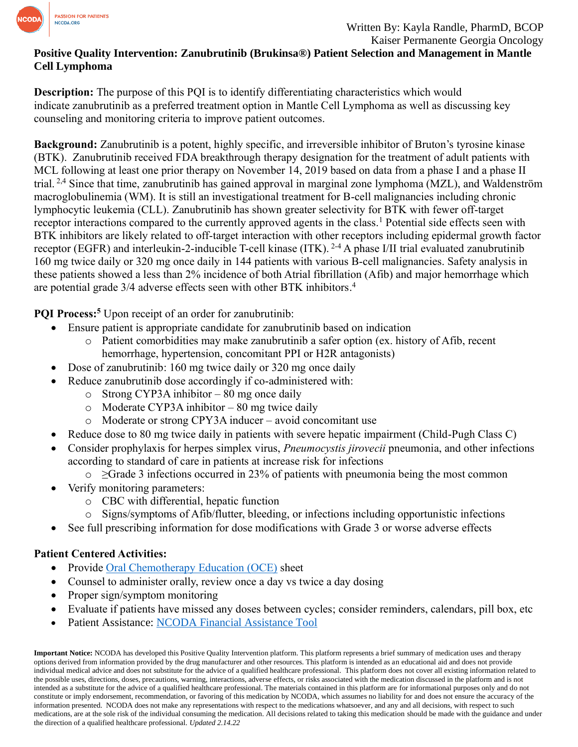

## **Positive Quality Intervention: Zanubrutinib (Brukinsa®) Patient Selection and Management in Mantle Cell Lymphoma**

**Description:** The purpose of this PQI is to identify differentiating characteristics which would indicate zanubrutinib as a preferred treatment option in Mantle Cell Lymphoma as well as discussing key counseling and monitoring criteria to improve patient outcomes.

**Background:** Zanubrutinib is a potent, highly specific, and irreversible inhibitor of Bruton's tyrosine kinase (BTK). Zanubrutinib received FDA breakthrough therapy designation for the treatment of adult patients with MCL following at least one prior therapy on November 14, 2019 based on data from a phase I and a phase II trial.<sup>2,4</sup> Since that time, zanubrutinib has gained approval in marginal zone lymphoma (MZL), and Waldenström macroglobulinemia (WM). It is still an investigational treatment for B-cell malignancies including chronic lymphocytic leukemia (CLL). Zanubrutinib has shown greater selectivity for BTK with fewer off-target receptor interactions compared to the currently approved agents in the class.<sup>1</sup> Potential side effects seen with BTK inhibitors are likely related to off-target interaction with other receptors including epidermal growth factor receptor (EGFR) and interleukin-2-inducible T-cell kinase (ITK). 2-4 A phase I/II trial evaluated zanubrutinib 160 mg twice daily or 320 mg once daily in 144 patients with various B-cell malignancies. Safety analysis in these patients showed a less than 2% incidence of both Atrial fibrillation (Afib) and major hemorrhage which are potential grade 3/4 adverse effects seen with other BTK inhibitors. 4

**PQI Process:<sup>5</sup>** Upon receipt of an order for zanubrutinib:

- Ensure patient is appropriate candidate for zanubrutinib based on indication
	- o Patient comorbidities may make zanubrutinib a safer option (ex. history of Afib, recent hemorrhage, hypertension, concomitant PPI or H2R antagonists)
- Dose of zanubrutinib: 160 mg twice daily or 320 mg once daily
- Reduce zanubrutinib dose accordingly if co-administered with:
	- $\circ$  Strong CYP3A inhibitor 80 mg once daily
	- o Moderate CYP3A inhibitor 80 mg twice daily
	- o Moderate or strong CPY3A inducer avoid concomitant use
- Reduce dose to 80 mg twice daily in patients with severe hepatic impairment (Child-Pugh Class C)
- Consider prophylaxis for herpes simplex virus, *Pneumocystis jirovecii* pneumonia, and other infections according to standard of care in patients at increase risk for infections
	- o ≥Grade 3 infections occurred in 23% of patients with pneumonia being the most common
- Verify monitoring parameters:
	- o CBC with differential, hepatic function
	- o Signs/symptoms of Afib/flutter, bleeding, or infections including opportunistic infections
- See full prescribing information for dose modifications with Grade 3 or worse adverse effects

## **Patient Centered Activities:**

- Provide Oral [Chemotherapy Education \(OCE\)](https://www.oralchemoedsheets.com/index.php/sheet-library/24-available/generic/437-zanubrutinib) sheet
- Counsel to administer orally, review once a day vs twice a day dosing
- Proper sign/symptom monitoring
- Evaluate if patients have missed any doses between cycles; consider reminders, calendars, pill box, etc
- Patient Assistance: [NCODA Financial Assistance Tool](https://www.ncoda.org/financial-assistance/)

**Important Notice:** NCODA has developed this Positive Quality Intervention platform. This platform represents a brief summary of medication uses and therapy options derived from information provided by the drug manufacturer and other resources. This platform is intended as an educational aid and does not provide individual medical advice and does not substitute for the advice of a qualified healthcare professional. This platform does not cover all existing information related to the possible uses, directions, doses, precautions, warning, interactions, adverse effects, or risks associated with the medication discussed in the platform and is not intended as a substitute for the advice of a qualified healthcare professional. The materials contained in this platform are for informational purposes only and do not constitute or imply endorsement, recommendation, or favoring of this medication by NCODA, which assumes no liability for and does not ensure the accuracy of the information presented. NCODA does not make any representations with respect to the medications whatsoever, and any and all decisions, with respect to such medications, are at the sole risk of the individual consuming the medication. All decisions related to taking this medication should be made with the guidance and under the direction of a qualified healthcare professional. *Updated 2.14.22*